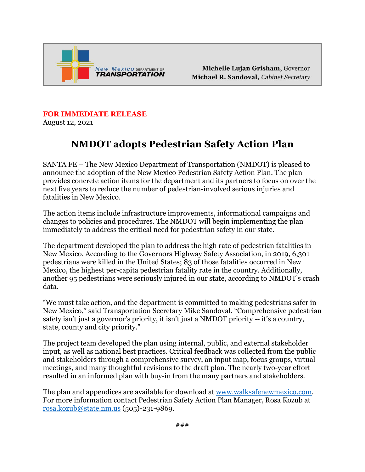

Michelle Lujan Grisham, Governor Michael R. Sandoval, Cabinet Secretary

## **FOR IMMEDIATE RELEASE**

August 12, 2021

## **NMDOT adopts Pedestrian Safety Action Plan**

SANTA FE – The New Mexico Department of Transportation (NMDOT) is pleased to announce the adoption of the New Mexico Pedestrian Safety Action Plan. The plan provides concrete action items for the department and its partners to focus on over the next five years to reduce the number of pedestrian-involved serious injuries and fatalities in New Mexico.

The action items include infrastructure improvements, informational campaigns and changes to policies and procedures. The NMDOT will begin implementing the plan immediately to address the critical need for pedestrian safety in our state.

The department developed the plan to address the high rate of pedestrian fatalities in New Mexico. According to the Governors Highway Safety Association, in 2019, 6,301 pedestrians were killed in the United States; 83 of those fatalities occurred in New Mexico, the highest per-capita pedestrian fatality rate in the country. Additionally, another 95 pedestrians were seriously injured in our state, according to NMDOT's crash data.

"We must take action, and the department is committed to making pedestrians safer in New Mexico," said Transportation Secretary Mike Sandoval. "Comprehensive pedestrian safety isn't just a governor's priority, it isn't just a NMDOT priority -- it's a country, state, county and city priority."

The project team developed the plan using internal, public, and external stakeholder input, as well as national best practices. Critical feedback was collected from the public and stakeholders through a comprehensive survey, an input map, focus groups, virtual meetings, and many thoughtful revisions to the draft plan. The nearly two-year effort resulted in an informed plan with buy-in from the many partners and stakeholders.

The plan and appendices are available for download at [www.walksafenewmexico.com.](http://www.walksafenewmexico.com/) For more information contact Pedestrian Safety Action Plan Manager, Rosa Kozub at [rosa.kozub@state.nm.us](mailto:rosa.kozub@state.nm.us) (505)-231-9869.